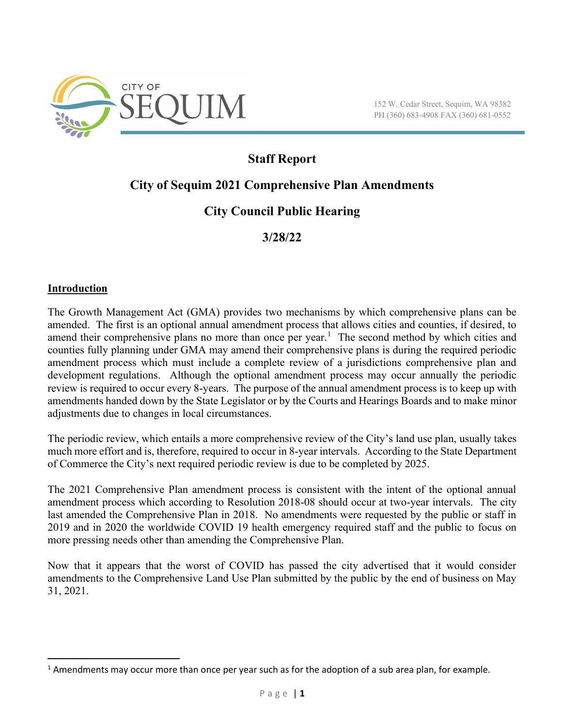

# **Staff Report**

# **City of Sequim 2021 Comprehensive Plan Amendments**

# **City Council Public Hearing**

**3/28/22**

### **Introduction**

The Growth Management Act (GMA) provides two mechanisms by which comprehensive plans can be amended. The first is an optional annual amendment process that allows cities and counties, if desired, to amend their comprehensive plans no more than once per year.<sup>1</sup> The second method by which cities and counties fully planning under GMA may amend their comprehensive plans is during the required periodic amendment process which must include a complete review of a jurisdictions comprehensive plan and development regulations. Although the optional amendment process may occur annually the periodic review is required to occur every 8-years. The purpose of the annual amendment process is to keep up with amendments handed down by the State Legislator or by the Courts and Hearings Boards and to make minor adjustments due to changes in local circumstances.

The periodic review, which entails a more comprehensive review of the City's land use plan, usually takes much more effort and is, therefore, required to occur in 8-year intervals. According to the State Department of Commerce the City's next required periodic review is due to be completed by 2025.

The 2021 Comprehensive Plan amendment process is consistent with the intent of the optional annual amendment process which according to Resolution 2018-08 should occur at two-year intervals. The city last amended the Comprehensive Plan in 2018. No amendments were requested by the public or staff in 2019 and in 2020 the worldwide COVID 19 health emergency required staff and the public to focus on more pressing needs other than amending the Comprehensive Plan.

Now that it appears that the worst of COVID has passed the city advertised that it would consider amendments to the Comprehensive Land Use Plan submitted by the public by the end of business on May 31, 2021.

 $<sup>1</sup>$  Amendments may occur more than once per year such as for the adoption of a sub area plan, for example.</sup>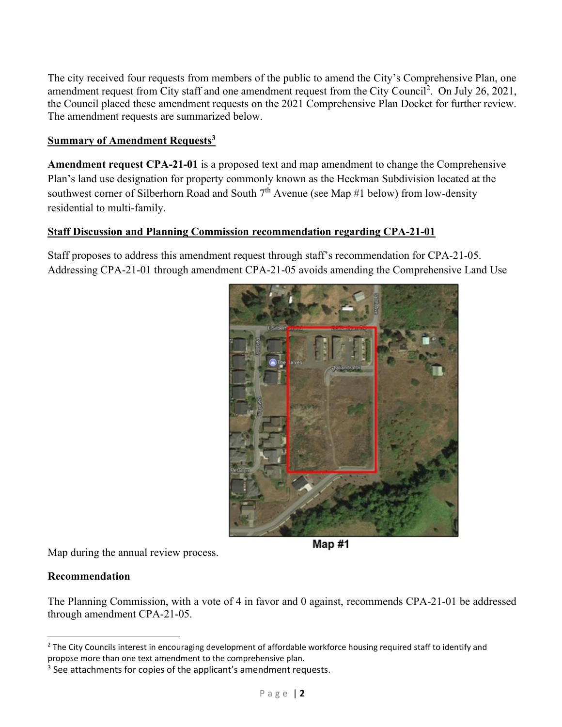The city received four requests from members of the public to amend the City's Comprehensive Plan, one amendment request from City staff and one amendment request from the City Council<sup>2</sup>. On July 26, 2021, the Council placed these amendment requests on the 2021 Comprehensive Plan Docket for further review. The amendment requests are summarized below.

### **Summary of Amendment Requests<sup>3</sup>**

**Amendment request CPA-21-01** is a proposed text and map amendment to change the Comprehensive Plan's land use designation for property commonly known as the Heckman Subdivision located at the southwest corner of Silberhorn Road and South  $7<sup>th</sup>$  Avenue (see Map #1 below) from low-density residential to multi-family.

### **Staff Discussion and Planning Commission recommendation regarding CPA-21-01**

Staff proposes to address this amendment request through staff's recommendation for CPA-21-05. Addressing CPA-21-01 through amendment CPA-21-05 avoids amending the Comprehensive Land Use



Map #1

Map during the annual review process.

### **Recommendation**

The Planning Commission, with a vote of 4 in favor and 0 against, recommends CPA-21-01 be addressed through amendment CPA-21-05.

<sup>&</sup>lt;sup>2</sup> The City Councils interest in encouraging development of affordable workforce housing required staff to identify and propose more than one text amendment to the comprehensive plan.

<sup>&</sup>lt;sup>3</sup> See attachments for copies of the applicant's amendment requests.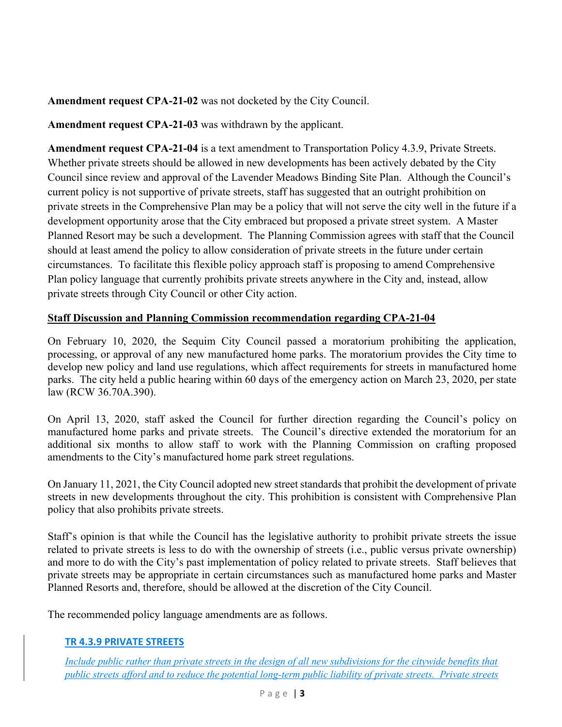**Amendment request CPA-21-02** was not docketed by the City Council.

**Amendment request CPA-21-03** was withdrawn by the applicant.

**Amendment request CPA-21-04** is a text amendment to Transportation Policy 4.3.9, Private Streets. Whether private streets should be allowed in new developments has been actively debated by the City Council since review and approval of the Lavender Meadows Binding Site Plan. Although the Council's current policy is not supportive of private streets, staff has suggested that an outright prohibition on private streets in the Comprehensive Plan may be a policy that will not serve the city well in the future if a development opportunity arose that the City embraced but proposed a private street system. A Master Planned Resort may be such a development. The Planning Commission agrees with staff that the Council should at least amend the policy to allow consideration of private streets in the future under certain circumstances. To facilitate this flexible policy approach staff is proposing to amend Comprehensive Plan policy language that currently prohibits private streets anywhere in the City and, instead, allow private streets through City Council or other City action.

### **Staff Discussion and Planning Commission recommendation regarding CPA-21-04**

On February 10, 2020, the Sequim City Council passed a moratorium prohibiting the application, processing, or approval of any new manufactured home parks. The moratorium provides the City time to develop new policy and land use regulations, which affect requirements for streets in manufactured home parks. The city held a public hearing within 60 days of the emergency action on March 23, 2020, per state law (RCW 36.70A.390).

On April 13, 2020, staff asked the Council for further direction regarding the Council's policy on manufactured home parks and private streets. The Council's directive extended the moratorium for an additional six months to allow staff to work with the Planning Commission on crafting proposed amendments to the City's manufactured home park street regulations.

On January 11, 2021, the City Council adopted new street standards that prohibit the development of private streets in new developments throughout the city. This prohibition is consistent with Comprehensive Plan policy that also prohibits private streets.

Staff's opinion is that while the Council has the legislative authority to prohibit private streets the issue related to private streets is less to do with the ownership of streets (i.e., public versus private ownership) and more to do with the City's past implementation of policy related to private streets. Staff believes that private streets may be appropriate in certain circumstances such as manufactured home parks and Master Planned Resorts and, therefore, should be allowed at the discretion of the City Council.

The recommended policy language amendments are as follows.

### **TR 4.3.9 PRIVATE STREETS**

*Include public rather than private streets in the design of all new subdivisions for the citywide benefits that public streets afford and to reduce the potential long-term public liability of private streets. Private streets*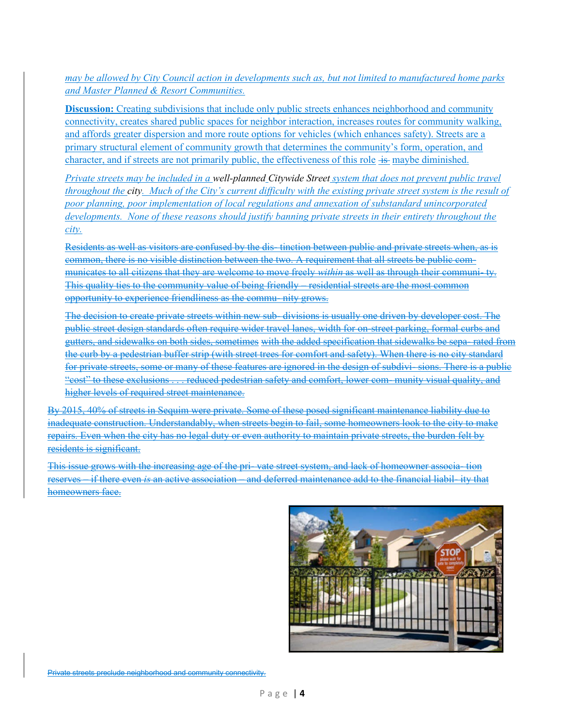*may be allowed by City Council action in developments such as, but not limited to manufactured home parks and Master Planned & Resort Communities.*

**Discussion:** Creating subdivisions that include only public streets enhances neighborhood and community connectivity, creates shared public spaces for neighbor interaction, increases routes for community walking, and affords greater dispersion and more route options for vehicles (which enhances safety). Streets are a primary structural element of community growth that determines the community's form, operation, and character, and if streets are not primarily public, the effectiveness of this role  $\pm$ s maybe diminished.

*Private streets may be included in a well-planned Citywide Street system that does not prevent public travel throughout the city. Much of the City's current difficulty with the existing private street system is the result of poor planning, poor implementation of local regulations and annexation of substandard unincorporated developments. None of these reasons should justify banning private streets in their entirety throughout the city.*

Residents as well as visitors are confused by the dis- tinction between public and private streets when, as is common, there is no visible distinction between the two. A requirement that all streets be public communicates to all citizens that they are welcome to move freely *within* as well as through their communi- ty. This quality ties to the community value of being friendly – residential streets are the most common opportunity to experience friendliness as the commu- nity grows.

The decision to create private streets within new sub- divisions is usually one driven by developer cost. The public street design standards often require wider travel lanes, width for on-street parking, formal curbs and gutters, and sidewalks on both sides, sometimes with the added specification that sidewalks be sepa- rated from the curb by a pedestrian buffer strip (with street trees for comfort and safety). When there is no city standard for private streets, some or many of these features are ignored in the design of subdivi- sions. There is a public "cost" to these exclusions . . . reduced pedestrian safety and comfort, lower com- munity visual quality, and higher levels of required street maintenance.

By 2015, 40% of streets in Sequim were private. Some of these posed significant maintenance liability due to inadequate construction. Understandably, when streets begin to fail, some homeowners look to the city to make repairs. Even when the city has no legal duty or even authority to maintain private streets, the burden felt by residents is significant.

This issue grows with the increasing age of the pri- vate street system, and lack of homeowner associa- tion reserves – if there even *is* an active association – and deferred maintenance add to the financial liabil- ity that homeowners face.



Private streets preclude neighborhood and community connectivity.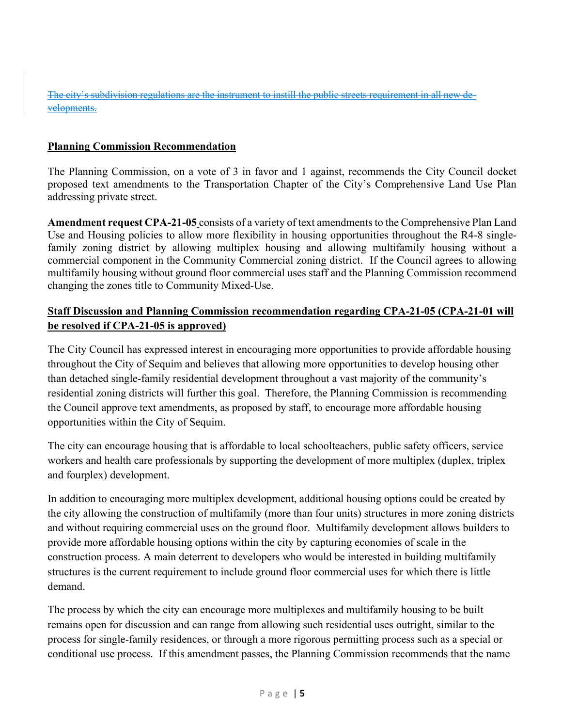The city's subdivision regulations are the instrument to instill the public streets requirement in all new developments.

### **Planning Commission Recommendation**

The Planning Commission, on a vote of 3 in favor and 1 against, recommends the City Council docket proposed text amendments to the Transportation Chapter of the City's Comprehensive Land Use Plan addressing private street.

**Amendment request CPA-21-05** consists of a variety of text amendments to the Comprehensive Plan Land Use and Housing policies to allow more flexibility in housing opportunities throughout the R4-8 singlefamily zoning district by allowing multiplex housing and allowing multifamily housing without a commercial component in the Community Commercial zoning district. If the Council agrees to allowing multifamily housing without ground floor commercial uses staff and the Planning Commission recommend changing the zones title to Community Mixed-Use.

### **Staff Discussion and Planning Commission recommendation regarding CPA-21-05 (CPA-21-01 will be resolved if CPA-21-05 is approved)**

The City Council has expressed interest in encouraging more opportunities to provide affordable housing throughout the City of Sequim and believes that allowing more opportunities to develop housing other than detached single-family residential development throughout a vast majority of the community's residential zoning districts will further this goal. Therefore, the Planning Commission is recommending the Council approve text amendments, as proposed by staff, to encourage more affordable housing opportunities within the City of Sequim.

The city can encourage housing that is affordable to local schoolteachers, public safety officers, service workers and health care professionals by supporting the development of more multiplex (duplex, triplex and fourplex) development.

In addition to encouraging more multiplex development, additional housing options could be created by the city allowing the construction of multifamily (more than four units) structures in more zoning districts and without requiring commercial uses on the ground floor. Multifamily development allows builders to provide more affordable housing options within the city by capturing economies of scale in the construction process. A main deterrent to developers who would be interested in building multifamily structures is the current requirement to include ground floor commercial uses for which there is little demand.

The process by which the city can encourage more multiplexes and multifamily housing to be built remains open for discussion and can range from allowing such residential uses outright, similar to the process for single-family residences, or through a more rigorous permitting process such as a special or conditional use process. If this amendment passes, the Planning Commission recommends that the name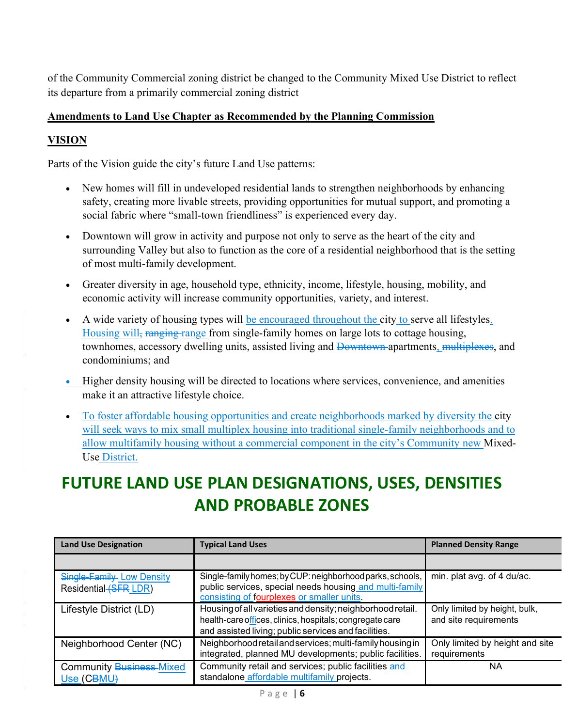of the Community Commercial zoning district be changed to the Community Mixed Use District to reflect its departure from a primarily commercial zoning district

### **Amendments to Land Use Chapter as Recommended by the Planning Commission**

### **VISION**

Parts of the Vision guide the city's future Land Use patterns:

- New homes will fill in undeveloped residential lands to strengthen neighborhoods by enhancing safety, creating more livable streets, providing opportunities for mutual support, and promoting a social fabric where "small-town friendliness" is experienced every day.
- Downtown will grow in activity and purpose not only to serve as the heart of the city and surrounding Valley but also to function as the core of a residential neighborhood that is the setting of most multi-family development.
- Greater diversity in age, household type, ethnicity, income, lifestyle, housing, mobility, and economic activity will increase community opportunities, variety, and interest.
- A wide variety of housing types will be encouraged throughout the city to serve all lifestyles. Housing will, ranging range from single-family homes on large lots to cottage housing, townhomes, accessory dwelling units, assisted living and <del>Downtown</del>-apartments, multiplexes, and condominiums; and
- Higher density housing will be directed to locations where services, convenience, and amenities make it an attractive lifestyle choice.
- To foster affordable housing opportunities and create neighborhoods marked by diversity the city will seek ways to mix small multiplex housing into traditional single-family neighborhoods and to allow multifamily housing without a commercial component in the city's Community new Mixed-Use District.

# **FUTURE LAND USE PLAN DESIGNATIONS, USES, DENSITIES AND PROBABLE ZONES**

| <b>Land Use Designation</b>                        | <b>Typical Land Uses</b>                                                                                                                                                       | <b>Planned Density Range</b>                           |
|----------------------------------------------------|--------------------------------------------------------------------------------------------------------------------------------------------------------------------------------|--------------------------------------------------------|
|                                                    |                                                                                                                                                                                |                                                        |
| Single-Family Low Density<br>Residential (SFR LDR) | Single-family homes; by CUP: neighborhood parks, schools,<br>public services, special needs housing and multi-family<br>consisting of fourplexes or smaller units.             | min. plat avg. of 4 du/ac.                             |
| Lifestyle District (LD)                            | Housing of all varieties and density; neighborhood retail.<br>health-care offices, clinics, hospitals; congregate care<br>and assisted living; public services and facilities. | Only limited by height, bulk,<br>and site requirements |
| Neighborhood Center (NC)                           | Neighborhood retail and services; multi-family housing in<br>integrated, planned MU developments; public facilities.                                                           | Only limited by height and site<br>requirements        |
| <b>Community Business-Mixed</b><br>Use (CBMU)      | Community retail and services; public facilities and<br>standalone affordable multifamily projects.                                                                            | ΝA                                                     |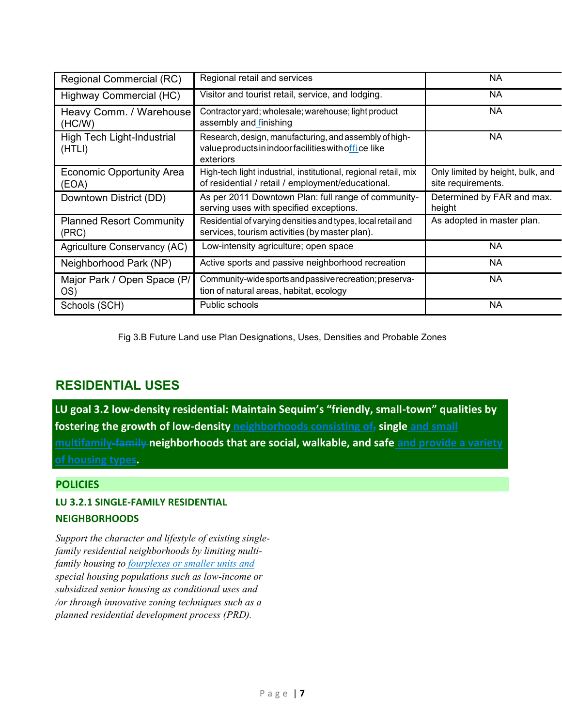| Regional Commercial (RC)                  | Regional retail and services                                                                                                | <b>NA</b>                                               |
|-------------------------------------------|-----------------------------------------------------------------------------------------------------------------------------|---------------------------------------------------------|
| Highway Commercial (HC)                   | Visitor and tourist retail, service, and lodging.                                                                           | NA.                                                     |
| Heavy Comm. / Warehouse<br>(HC/W)         | Contractor yard; wholesale; warehouse; light product<br>assembly and finishing                                              | <b>NA</b>                                               |
| High Tech Light-Industrial<br>(HTLI)      | Research, design, manufacturing, and assembly of high-<br>value products in indoor facilities with office like<br>exteriors | <b>NA</b>                                               |
| <b>Economic Opportunity Area</b><br>(EOA) | High-tech light industrial, institutional, regional retail, mix<br>of residential / retail / employment/educational.        | Only limited by height, bulk, and<br>site requirements. |
| Downtown District (DD)                    | As per 2011 Downtown Plan: full range of community-<br>serving uses with specified exceptions.                              | Determined by FAR and max.<br>height                    |
| <b>Planned Resort Community</b><br>(PRC)  | Residential of varying densities and types, local retail and                                                                | As adopted in master plan.                              |
|                                           | services, tourism activities (by master plan).                                                                              |                                                         |
| Agriculture Conservancy (AC)              | Low-intensity agriculture; open space                                                                                       | <b>NA</b>                                               |
| Neighborhood Park (NP)                    | Active sports and passive neighborhood recreation                                                                           | <b>NA</b>                                               |
| Major Park / Open Space (P/<br>OS)        | Community-wide sports and passive recreation; preserva-<br>tion of natural areas, habitat, ecology                          | <b>NA</b>                                               |

Fig 3.B Future Land use Plan Designations, Uses, Densities and Probable Zones

# **RESIDENTIAL USES**

**LU goal 3.2 low-density residential: Maintain Sequim's "friendly, small-town" qualities by fostering the growth of low-density neighborhoods consisting of, single and small multifamily-family neighborhoods that are social, walkable, and safe and provide a variety** 

### **POLICIES**

### **LU 3.2.1 SINGLE-FAMILY RESIDENTIAL NEIGHBORHOODS**

*Support the character and lifestyle of existing singlefamily residential neighborhoods by limiting multifamily housing to fourplexes or smaller units and special housing populations such as low-income or subsidized senior housing as conditional uses and /or through innovative zoning techniques such as a planned residential development process (PRD).*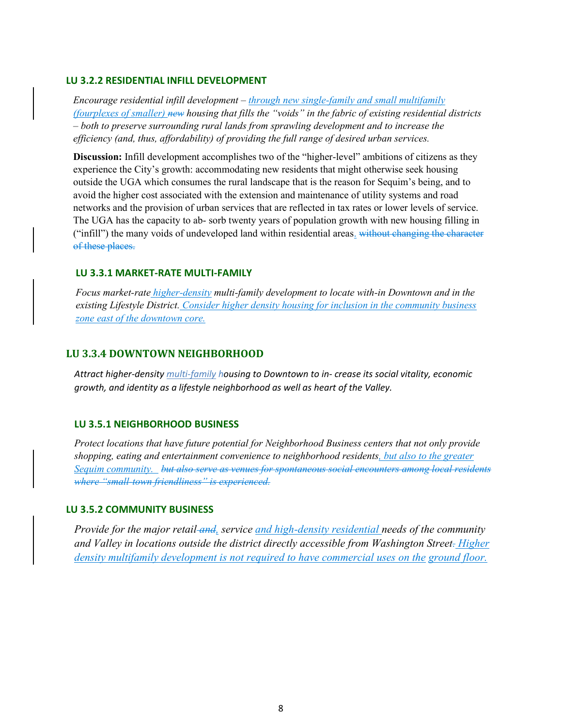#### **LU 3.2.2 RESIDENTIAL INFILL DEVELOPMENT**

*Encourage residential infill development – through new single-family and small multifamily (fourplexes of smaller) new housing that fills the "voids" in the fabric of existing residential districts – both to preserve surrounding rural lands from sprawling development and to increase the efficiency (and, thus, affordability) of providing the full range of desired urban services.*

**Discussion:** Infill development accomplishes two of the "higher-level" ambitions of citizens as they experience the City's growth: accommodating new residents that might otherwise seek housing outside the UGA which consumes the rural landscape that is the reason for Sequim's being, and to avoid the higher cost associated with the extension and maintenance of utility systems and road networks and the provision of urban services that are reflected in tax rates or lower levels of service. The UGA has the capacity to ab- sorb twenty years of population growth with new housing filling in ("infill") the many voids of undeveloped land within residential areas. without changing the character of these places.

#### **LU 3.3.1 MARKET-RATE MULTI-FAMILY**

*Focus market-rate higher-density multi-family development to locate with-in Downtown and in the existing Lifestyle District. Consider higher density housing for inclusion in the community business zone east of the downtown core.*

#### **LU 3.3.4 DOWNTOWN NEIGHBORHOOD**

*Attract higher-density multi-family housing to Downtown to in- crease its social vitality, economic growth, and identity as a lifestyle neighborhood as well as heart of the Valley.*

#### **LU 3.5.1 NEIGHBORHOOD BUSINESS**

*Protect locations that have future potential for Neighborhood Business centers that not only provide shopping, eating and entertainment convenience to neighborhood residents, but also to the greater Sequim community. but also serve as venues for spontaneous social encounters among local residents where "small-town friendliness" is experienced.*

#### **LU 3.5.2 COMMUNITY BUSINESS**

*Provide for the major retail and, service and high-density residential needs of the community and Valley in locations outside the district directly accessible from Washington Street. Higher density multifamily development is not required to have commercial uses on the ground floor.*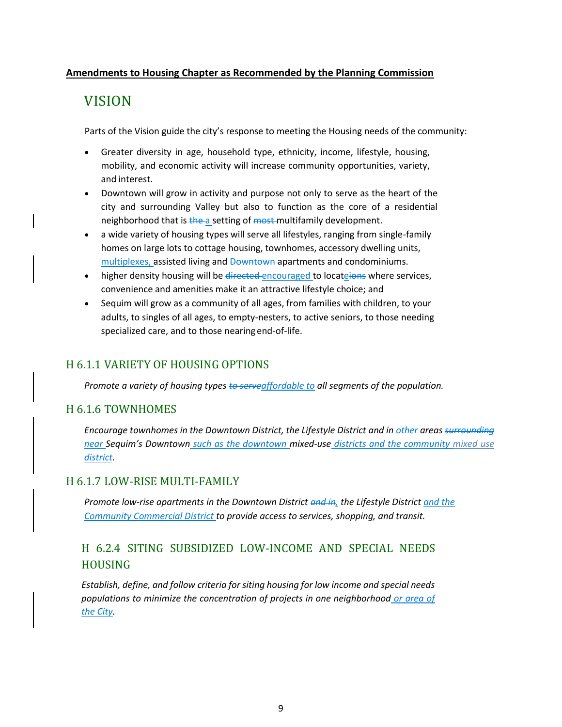#### **Amendments to Housing Chapter as Recommended by the Planning Commission**

# VISION

Parts of the Vision guide the city's response to meeting the Housing needs of the community:

- Greater diversity in age, household type, ethnicity, income, lifestyle, housing, mobility, and economic activity will increase community opportunities, variety, and interest.
- Downtown will grow in activity and purpose not only to serve as the heart of the city and surrounding Valley but also to function as the core of a residential neighborhood that is the a setting of most multifamily development.
- a wide variety of housing types will serve all lifestyles, ranging from single-family homes on large lots to cottage housing, townhomes, accessory dwelling units, multiplexes, assisted living and Downtown apartments and condominiums.
- higher density housing will be directed encouraged to locateions where services, convenience and amenities make it an attractive lifestyle choice; and
- Sequim will grow as a community of all ages, from families with children, to your adults, to singles of all ages, to empty-nesters, to active seniors, to those needing specialized care, and to those nearingend-of-life.

### H 6.1.1 VARIETY OF HOUSING OPTIONS

*Promote a variety of housing types to serveaffordable to all segments of the population.*

### H 6.1.6 TOWNHOMES

*Encourage townhomes in the Downtown District, the Lifestyle District and in other areas surrounding near Sequim's Downtown such as the downtown mixed-use districts and the community mixed use district.*

### H 6.1.7 LOW-RISE MULTI-FAMILY

*Promote low-rise apartments in the Downtown District and in, the Lifestyle District and the Community Commercial District to provide access to services, shopping, and transit.*

# H 6.2.4 SITING SUBSIDIZED LOW-INCOME AND SPECIAL NEEDS HOUSING

*Establish, define, and follow criteria for siting housing for low income and special needs populations to minimize the concentration of projects in one neighborhood or area of the City.*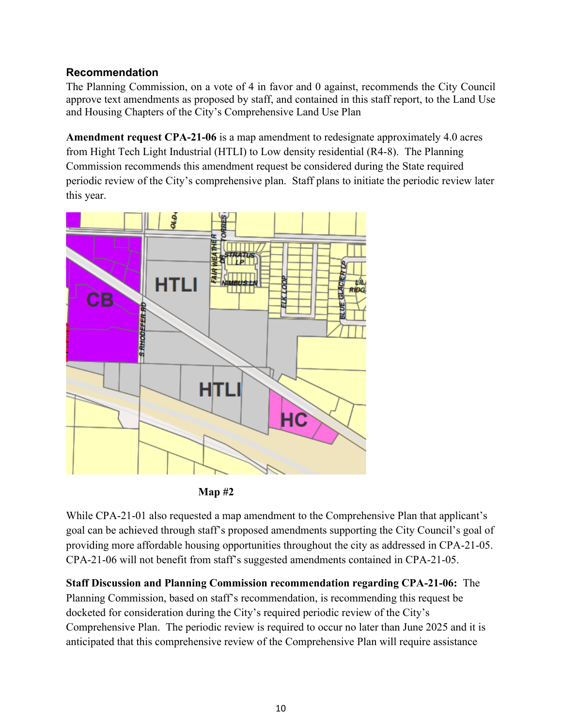### **Recommendation**

The Planning Commission, on a vote of 4 in favor and 0 against, recommends the City Council approve text amendments as proposed by staff, and contained in this staff report, to the Land Use and Housing Chapters of the City's Comprehensive Land Use Plan

**Amendment request CPA-21-06** is a map amendment to redesignate approximately 4.0 acres from Hight Tech Light Industrial (HTLI) to Low density residential (R4-8). The Planning Commission recommends this amendment request be considered during the State required periodic review of the City's comprehensive plan. Staff plans to initiate the periodic review later this year.





While CPA-21-01 also requested a map amendment to the Comprehensive Plan that applicant's goal can be achieved through staff's proposed amendments supporting the City Council's goal of providing more affordable housing opportunities throughout the city as addressed in CPA-21-05. CPA-21-06 will not benefit from staff's suggested amendments contained in CPA-21-05.

**Staff Discussion and Planning Commission recommendation regarding CPA-21-06:** The Planning Commission, based on staff's recommendation, is recommending this request be docketed for consideration during the City's required periodic review of the City's Comprehensive Plan. The periodic review is required to occur no later than June 2025 and it is anticipated that this comprehensive review of the Comprehensive Plan will require assistance